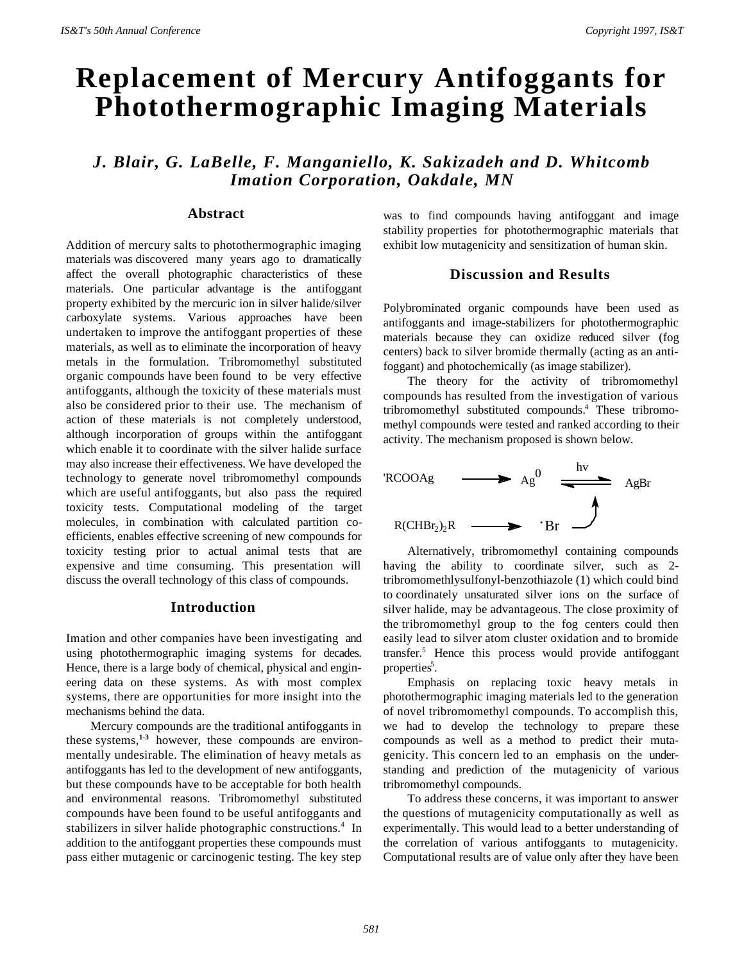# **Replacement of Mercury Antifoggants for Photothermographic Imaging Materials**

*J. Blair, G. LaBelle, F. Manganiello, K. Sakizadeh and D. Whitcomb Imation Corporation, Oakdale, MN*

## **Abstract**

Addition of mercury salts to photothermographic imaging materials was discovered many years ago to dramatically affect the overall photographic characteristics of these materials. One particular advantage is the antifoggant property exhibited by the mercuric ion in silver halide/silver carboxylate systems. Various approaches have been undertaken to improve the antifoggant properties of these materials, as well as to eliminate the incorporation of heavy metals in the formulation. Tribromomethyl substituted organic compounds have been found to be very effective antifoggants, although the toxicity of these materials must also be considered prior to their use. The mechanism of action of these materials is not completely understood, although incorporation of groups within the antifoggant which enable it to coordinate with the silver halide surface may also increase their effectiveness. We have developed the technology to generate novel tribromomethyl compounds which are useful antifoggants, but also pass the required toxicity tests. Computational modeling of the target molecules, in combination with calculated partition coefficients, enables effective screening of new compounds for toxicity testing prior to actual animal tests that are expensive and time consuming. This presentation will discuss the overall technology of this class of compounds.

## **Introduction**

Imation and other companies have been investigating and using photothermographic imaging systems for decades. Hence, there is a large body of chemical, physical and engineering data on these systems. As with most complex systems, there are opportunities for more insight into the mechanisms behind the data.

Mercury compounds are the traditional antifoggants in these systems,**1-3** however, these compounds are environmentally undesirable. The elimination of heavy metals as antifoggants has led to the development of new antifoggants, but these compounds have to be acceptable for both health and environmental reasons. Tribromomethyl substituted compounds have been found to be useful antifoggants and stabilizers in silver halide photographic constructions.<sup>4</sup> In addition to the antifoggant properties these compounds must pass either mutagenic or carcinogenic testing. The key step

was to find compounds having antifoggant and image stability properties for photothermographic materials that exhibit low mutagenicity and sensitization of human skin.

## **Discussion and Results**

Polybrominated organic compounds have been used as antifoggants and image-stabilizers for photothermographic materials because they can oxidize reduced silver (fog centers) back to silver bromide thermally (acting as an antifoggant) and photochemically (as image stabilizer).

The theory for the activity of tribromomethyl compounds has resulted from the investigation of various tribromomethyl substituted compounds.<sup>4</sup> These tribromomethyl compounds were tested and ranked according to their activity. The mechanism proposed is shown below.



Alternatively, tribromomethyl containing compounds having the ability to coordinate silver, such as 2tribromomethlysulfonyl-benzothiazole (1) which could bind to coordinately unsaturated silver ions on the surface of silver halide, may be advantageous. The close proximity of the tribromomethyl group to the fog centers could then easily lead to silver atom cluster oxidation and to bromide transfer.<sup>5</sup> Hence this process would provide antifoggant properties<sup>5</sup>.

Emphasis on replacing toxic heavy metals in photothermographic imaging materials led to the generation of novel tribromomethyl compounds. To accomplish this, we had to develop the technology to prepare these compounds as well as a method to predict their mutagenicity. This concern led to an emphasis on the understanding and prediction of the mutagenicity of various tribromomethyl compounds.

To address these concerns, it was important to answer the questions of mutagenicity computationally as well as experimentally. This would lead to a better understanding of the correlation of various antifoggants to mutagenicity. Computational results are of value only after they have been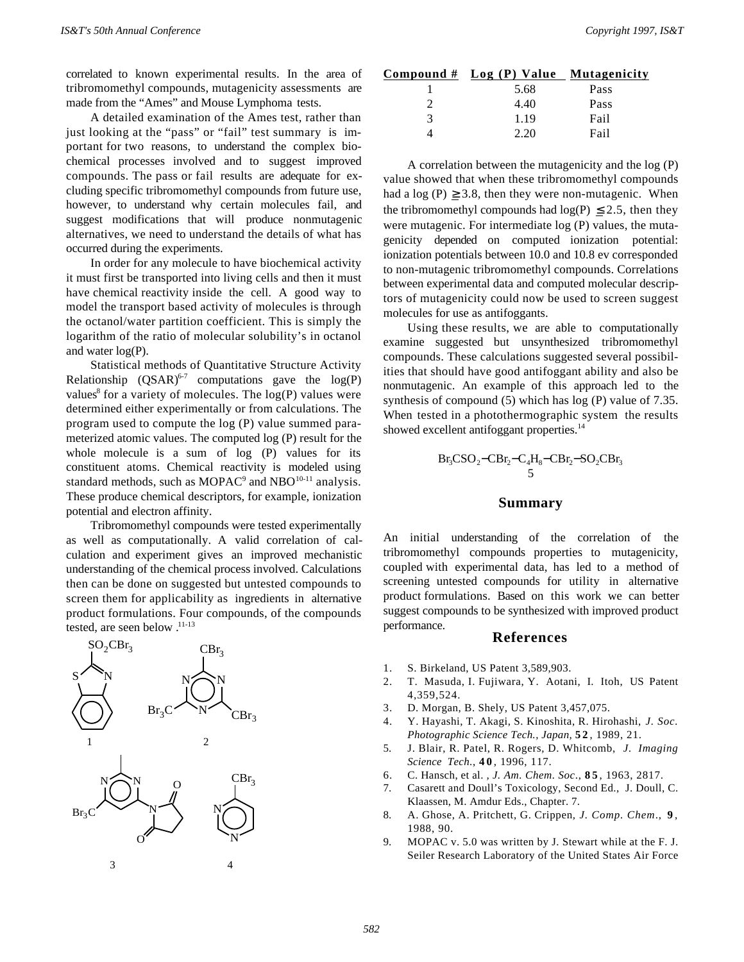correlated to known experimental results. In the area of tribromomethyl compounds, mutagenicity assessments are made from the "Ames" and Mouse Lymphoma tests.

A detailed examination of the Ames test, rather than just looking at the "pass" or "fail" test summary is important for two reasons, to understand the complex biochemical processes involved and to suggest improved compounds. The pass or fail results are adequate for excluding specific tribromomethyl compounds from future use, however, to understand why certain molecules fail, and suggest modifications that will produce nonmutagenic alternatives, we need to understand the details of what has occurred during the experiments.

In order for any molecule to have biochemical activity it must first be transported into living cells and then it must have chemical reactivity inside the cell. A good way to model the transport based activity of molecules is through the octanol/water partition coefficient. This is simply the logarithm of the ratio of molecular solubility's in octanol and water log(P).

Statistical methods of Quantitative Structure Activity Relationship  $(QSAR)^{6-7}$  computations gave the  $log(P)$ values<sup>8</sup> for a variety of molecules. The  $log(P)$  values were determined either experimentally or from calculations. The program used to compute the log (P) value summed parameterized atomic values. The computed log (P) result for the whole molecule is a sum of log (P) values for its constituent atoms. Chemical reactivity is modeled using standard methods, such as MOPAC<sup>9</sup> and NBO<sup>10-11</sup> analysis. These produce chemical descriptors, for example, ionization potential and electron affinity.

Tribromomethyl compounds were tested experimentally as well as computationally. A valid correlation of calculation and experiment gives an improved mechanistic understanding of the chemical process involved. Calculations then can be done on suggested but untested compounds to screen them for applicability as ingredients in alternative product formulations. Four compounds, of the compounds tested, are seen below .<sup>11-13</sup>



|   | Compound # Log (P) Value Mutagenicity |      |
|---|---------------------------------------|------|
|   | 5.68                                  | Pass |
|   | 4.40                                  | Pass |
| 3 | 1.19                                  | Fail |
|   | 2.20                                  | Fail |

A correlation between the mutagenicity and the log (P) value showed that when these tribromomethyl compounds had a log (P)  $\geq$  3.8, then they were non-mutagenic. When the tribromomethyl compounds had  $log(P) \le 2.5$ , then they were mutagenic. For intermediate log (P) values, the mutagenicity depended on computed ionization potential: ionization potentials between 10.0 and 10.8 ev corresponded to non-mutagenic tribromomethyl compounds. Correlations between experimental data and computed molecular descriptors of mutagenicity could now be used to screen suggest molecules for use as antifoggants.

Using these results, we are able to computationally examine suggested but unsynthesized tribromomethyl compounds. These calculations suggested several possibilities that should have good antifoggant ability and also be nonmutagenic. An example of this approach led to the synthesis of compound (5) which has log (P) value of 7.35. When tested in a photothermographic system the results showed excellent antifoggant properties.<sup>14</sup>

$$
\substack{Br_3CSO_2-CBr_2-C_4H_8-CBr_2-SO_2CBr_3\\5}
$$

#### **Summary**

An initial understanding of the correlation of the tribromomethyl compounds properties to mutagenicity, coupled with experimental data, has led to a method of screening untested compounds for utility in alternative product formulations. Based on this work we can better suggest compounds to be synthesized with improved product performance.

#### **References**

- 1. S. Birkeland, US Patent 3,589,903.
- 2. T. Masuda, I. Fujiwara, Y. Aotani, I. Itoh, US Patent 4,359,524.
- 3. D. Morgan, B. Shely, US Patent 3,457,075.
- 4. Y. Hayashi, T. Akagi, S. Kinoshita, R. Hirohashi, *J. Soc. Photographic Science Tech., Japan,* **5 2** , 1989, 21.
- 5. J. Blair, R. Patel, R. Rogers, D. Whitcomb, *J. Imaging Science Tech*., **4 0** , 1996, 117.
- 6. C. Hansch, et al. *, J. Am. Chem. Soc*., **8 5** , 1963, 2817.
- 7. Casarett and Doull's Toxicology, Second Ed., J. Doull, C. Klaassen, M. Amdur Eds., Chapter. 7.
- 8. A. Ghose, A. Pritchett, G. Crippen*, J. Comp. Chem*., **9** , 1988, 90.
- 9. MOPAC v. 5.0 was written by J. Stewart while at the F. J. Seiler Research Laboratory of the United States Air Force